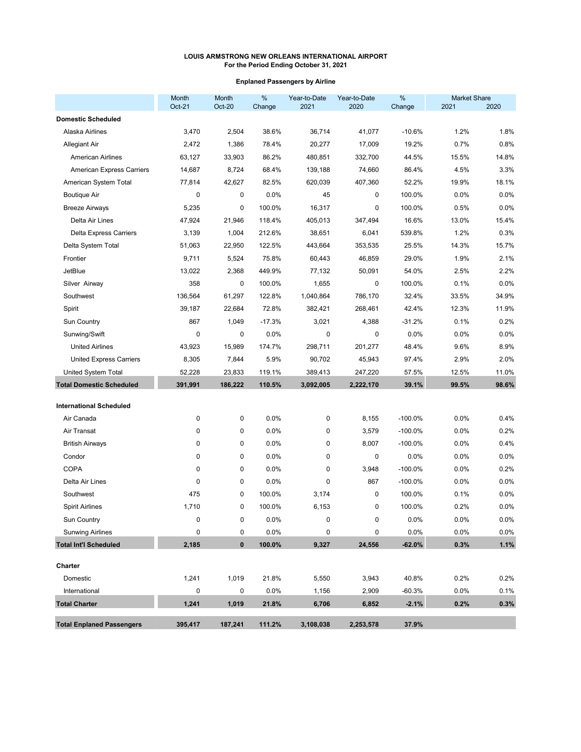## **Enplaned Passengers by Airline**

|                                  | Month<br>Oct-21 | <b>Month</b><br><b>Oct-20</b> | $\%$<br>Change | Year-to-Date<br>2021 | Year-to-Date<br>2020 | $\%$<br>Change | <b>Market Share</b><br>2021 | 2020    |
|----------------------------------|-----------------|-------------------------------|----------------|----------------------|----------------------|----------------|-----------------------------|---------|
| <b>Domestic Scheduled</b>        |                 |                               |                |                      |                      |                |                             |         |
| Alaska Airlines                  | 3,470           | 2,504                         | 38.6%          | 36,714               | 41,077               | $-10.6%$       | 1.2%                        | 1.8%    |
| <b>Allegiant Air</b>             | 2,472           | 1,386                         | 78.4%          | 20,277               | 17,009               | 19.2%          | 0.7%                        | 0.8%    |
| <b>American Airlines</b>         | 63,127          | 33,903                        | 86.2%          | 480,851              | 332,700              | 44.5%          | 15.5%                       | 14.8%   |
| <b>American Express Carriers</b> | 14,687          | 8,724                         | 68.4%          | 139,188              | 74,660               | 86.4%          | 4.5%                        | 3.3%    |
| American System Total            | 77,814          | 42,627                        | 82.5%          | 620,039              | 407,360              | 52.2%          | 19.9%                       | 18.1%   |
| <b>Boutique Air</b>              | $\mathbf 0$     | 0                             | 0.0%           | 45                   | 0                    | 100.0%         | 0.0%                        | 0.0%    |
| <b>Breeze Airways</b>            | 5,235           | 0                             | 100.0%         | 16,317               | 0                    | 100.0%         | 0.5%                        | 0.0%    |
| Delta Air Lines                  | 47,924          | 21,946                        | 118.4%         | 405,013              | 347,494              | 16.6%          | 13.0%                       | 15.4%   |
| <b>Delta Express Carriers</b>    | 3,139           | 1,004                         | 212.6%         | 38,651               | 6,041                | 539.8%         | 1.2%                        | 0.3%    |
| Delta System Total               | 51,063          | 22,950                        | 122.5%         | 443,664              | 353,535              | 25.5%          | 14.3%                       | 15.7%   |
| Frontier                         | 9,711           | 5,524                         | 75.8%          | 60,443               | 46,859               | 29.0%          | 1.9%                        | 2.1%    |
| <b>JetBlue</b>                   | 13,022          | 2,368                         | 449.9%         | 77,132               | 50,091               | 54.0%          | 2.5%                        | 2.2%    |
| Silver Airway                    | 358             | 0                             | 100.0%         | 1,655                | 0                    | 100.0%         | 0.1%                        | 0.0%    |
| Southwest                        | 136,564         | 61,297                        | 122.8%         | 1,040,864            | 786,170              | 32.4%          | 33.5%                       | 34.9%   |
| Spirit                           | 39,187          | 22,684                        | 72.8%          | 382,421              | 268,461              | 42.4%          | 12.3%                       | 11.9%   |
| Sun Country                      | 867             | 1,049                         | $-17.3%$       | 3,021                | 4,388                | $-31.2%$       | 0.1%                        | 0.2%    |
| Sunwing/Swift                    | 0               | 0                             | 0.0%           | 0                    | 0                    | 0.0%           | 0.0%                        | 0.0%    |
| <b>United Airlines</b>           | 43,923          | 15,989                        | 174.7%         | 298,711              | 201,277              | 48.4%          | 9.6%                        | 8.9%    |
| <b>United Express Carriers</b>   | 8,305           | 7,844                         | 5.9%           | 90,702               | 45,943               | 97.4%          | 2.9%                        | 2.0%    |
| United System Total              | 52,228          | 23,833                        | 119.1%         | 389,413              | 247,220              | 57.5%          | 12.5%                       | 11.0%   |
| <b>Total Domestic Scheduled</b>  | 391,991         | 186,222                       | 110.5%         | 3,092,005            | 2,222,170            | 39.1%          | 99.5%                       | 98.6%   |
| <b>International Scheduled</b>   |                 |                               |                |                      |                      |                |                             |         |
| Air Canada                       | 0               | 0                             | 0.0%           | 0                    | 8,155                | $-100.0%$      | 0.0%                        | 0.4%    |
| Air Transat                      | 0               | 0                             | 0.0%           | 0                    | 3,579                | $-100.0%$      | 0.0%                        | 0.2%    |
| <b>British Airways</b>           | $\mathbf 0$     | 0                             | 0.0%           | 0                    | 8,007                | $-100.0%$      | 0.0%                        | 0.4%    |
| Condor                           | $\mathbf{0}$    | 0                             | 0.0%           | 0                    | 0                    | 0.0%           | 0.0%                        | 0.0%    |
| <b>COPA</b>                      | 0               | 0                             | 0.0%           | 0                    | 3,948                | $-100.0%$      | 0.0%                        | 0.2%    |
| Delta Air Lines                  | $\mathbf 0$     | 0                             | 0.0%           | 0                    | 867                  | $-100.0%$      | 0.0%                        | 0.0%    |
| Southwest                        | 475             | 0                             | 100.0%         | 3,174                | 0                    | 100.0%         | 0.1%                        | 0.0%    |
| <b>Spirit Airlines</b>           | 1,710           | 0                             | 100.0%         | 6,153                | 0                    | 100.0%         | 0.2%                        | 0.0%    |
| Sun Country                      | $\Omega$        | 0                             | 0.0%           | $\mathbf 0$          | 0                    | 0.0%           | 0.0%                        | $0.0\%$ |
| <b>Sunwing Airlines</b>          | 0               | 0                             | 0.0%           | 0                    | 0                    | 0.0%           | 0.0%                        | $0.0\%$ |
| <b>Total Int'l Scheduled</b>     | 2,185           | $\pmb{0}$                     | 100.0%         | 9,327                | 24,556               | $-62.0%$       | 0.3%                        | 1.1%    |
| Charter                          |                 |                               |                |                      |                      |                |                             |         |
| Domestic                         | 1,241           | 1,019                         | 21.8%          | 5,550                | 3,943                | 40.8%          | 0.2%                        | 0.2%    |
| International                    | $\mathbf 0$     | 0                             | 0.0%           | 1,156                | 2,909                | $-60.3%$       | 0.0%                        | 0.1%    |
| <b>Total Charter</b>             | 1,241           | 1,019                         | 21.8%          | 6,706                | 6,852                | $-2.1%$        | 0.2%                        | 0.3%    |
| <b>Total Enplaned Passengers</b> | 395,417         | 187,241                       | 111.2%         | 3,108,038            | 2,253,578            | 37.9%          |                             |         |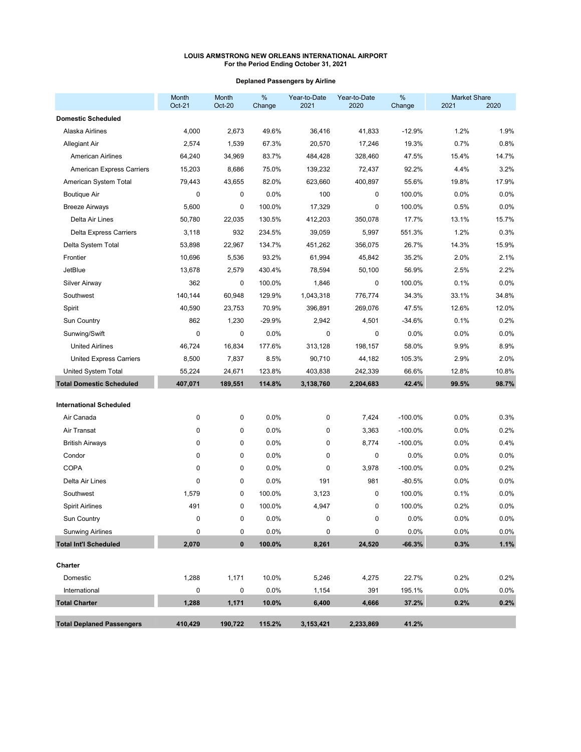# **Deplaned Passengers by Airline**

|                                  | Month<br>Oct-21 | Month<br><b>Oct-20</b> | %<br>Change | Year-to-Date<br>2021 | Year-to-Date<br>2020 | $\%$<br>Change | <b>Market Share</b><br>2021 | 2020    |
|----------------------------------|-----------------|------------------------|-------------|----------------------|----------------------|----------------|-----------------------------|---------|
| <b>Domestic Scheduled</b>        |                 |                        |             |                      |                      |                |                             |         |
| Alaska Airlines                  | 4,000           | 2,673                  | 49.6%       | 36,416               | 41,833               | $-12.9%$       | 1.2%                        | 1.9%    |
| Allegiant Air                    | 2,574           | 1,539                  | 67.3%       | 20,570               | 17,246               | 19.3%          | 0.7%                        | 0.8%    |
| <b>American Airlines</b>         | 64,240          | 34,969                 | 83.7%       | 484,428              | 328,460              | 47.5%          | 15.4%                       | 14.7%   |
| <b>American Express Carriers</b> | 15,203          | 8,686                  | 75.0%       | 139,232              | 72,437               | 92.2%          | 4.4%                        | 3.2%    |
| American System Total            | 79,443          | 43,655                 | 82.0%       | 623,660              | 400,897              | 55.6%          | 19.8%                       | 17.9%   |
| Boutique Air                     | 0               | 0                      | 0.0%        | 100                  | 0                    | 100.0%         | 0.0%                        | 0.0%    |
| <b>Breeze Airways</b>            | 5,600           | 0                      | 100.0%      | 17,329               | 0                    | 100.0%         | 0.5%                        | 0.0%    |
| Delta Air Lines                  | 50,780          | 22,035                 | 130.5%      | 412,203              | 350,078              | 17.7%          | 13.1%                       | 15.7%   |
| <b>Delta Express Carriers</b>    | 3,118           | 932                    | 234.5%      | 39,059               | 5,997                | 551.3%         | 1.2%                        | 0.3%    |
| Delta System Total               | 53,898          | 22,967                 | 134.7%      | 451,262              | 356,075              | 26.7%          | 14.3%                       | 15.9%   |
| Frontier                         | 10,696          | 5,536                  | 93.2%       | 61,994               | 45,842               | 35.2%          | 2.0%                        | 2.1%    |
| <b>JetBlue</b>                   | 13,678          | 2,579                  | 430.4%      | 78,594               | 50,100               | 56.9%          | 2.5%                        | 2.2%    |
| <b>Silver Airway</b>             | 362             | 0                      | 100.0%      | 1,846                | 0                    | 100.0%         | 0.1%                        | 0.0%    |
| Southwest                        | 140,144         | 60,948                 | 129.9%      | 1,043,318            | 776,774              | 34.3%          | 33.1%                       | 34.8%   |
| Spirit                           | 40,590          | 23,753                 | 70.9%       | 396,891              | 269,076              | 47.5%          | 12.6%                       | 12.0%   |
| Sun Country                      | 862             | 1,230                  | $-29.9%$    | 2,942                | 4,501                | $-34.6%$       | 0.1%                        | 0.2%    |
| Sunwing/Swift                    | 0               | 0                      | 0.0%        | 0                    | 0                    | 0.0%           | 0.0%                        | 0.0%    |
| <b>United Airlines</b>           | 46,724          | 16,834                 | 177.6%      | 313,128              | 198,157              | 58.0%          | 9.9%                        | 8.9%    |
| <b>United Express Carriers</b>   | 8,500           | 7,837                  | 8.5%        | 90,710               | 44,182               | 105.3%         | 2.9%                        | 2.0%    |
| United System Total              | 55,224          | 24,671                 | 123.8%      | 403,838              | 242,339              | 66.6%          | 12.8%                       | 10.8%   |
| <b>Total Domestic Scheduled</b>  | 407,071         | 189,551                | 114.8%      | 3,138,760            | 2,204,683            | 42.4%          | 99.5%                       | 98.7%   |
| <b>International Scheduled</b>   |                 |                        |             |                      |                      |                |                             |         |
| Air Canada                       | 0               | 0                      | 0.0%        | 0                    | 7,424                | $-100.0\%$     | 0.0%                        | 0.3%    |
| Air Transat                      | 0               | 0                      | 0.0%        | 0                    | 3,363                | $-100.0\%$     | 0.0%                        | 0.2%    |
| <b>British Airways</b>           | 0               | 0                      | 0.0%        | 0                    | 8,774                | $-100.0\%$     | 0.0%                        | 0.4%    |
| Condor                           | 0               | 0                      | 0.0%        | 0                    | 0                    | 0.0%           | 0.0%                        | 0.0%    |
| <b>COPA</b>                      | 0               | 0                      | 0.0%        | 0                    | 3,978                | $-100.0%$      | 0.0%                        | 0.2%    |
| Delta Air Lines                  | 0               | 0                      | 0.0%        | 191                  | 981                  | $-80.5%$       | 0.0%                        | 0.0%    |
| Southwest                        | 1,579           | 0                      | 100.0%      | 3,123                | 0                    | 100.0%         | 0.1%                        | 0.0%    |
| <b>Spirit Airlines</b>           | 491             | 0                      | 100.0%      | 4,947                | 0                    | 100.0%         | 0.2%                        | 0.0%    |
| Sun Country                      |                 | 0                      | 0.0%        | 0                    | 0                    | 0.0%           | 0.0%                        | 0.0%    |
| <b>Sunwing Airlines</b>          | 0               | 0                      | 0.0%        | 0                    | 0                    | 0.0%           | 0.0%                        | $0.0\%$ |
| <b>Total Int'l Scheduled</b>     | 2,070           | $\pmb{0}$              | 100.0%      | 8,261                | 24,520               | $-66.3%$       | 0.3%                        | 1.1%    |
| Charter                          |                 |                        |             |                      |                      |                |                             |         |
| Domestic                         | 1,288           | 1,171                  | 10.0%       | 5,246                | 4,275                | 22.7%          | 0.2%                        | 0.2%    |
| International                    | 0               | $\pmb{0}$              | 0.0%        | 1,154                | 391                  | 195.1%         | 0.0%                        | 0.0%    |
| <b>Total Charter</b>             | 1,288           | 1,171                  | 10.0%       | 6,400                | 4,666                | 37.2%          | 0.2%                        | 0.2%    |
| <b>Total Deplaned Passengers</b> | 410,429         | 190,722                | 115.2%      | 3,153,421            | 2,233,869            | 41.2%          |                             |         |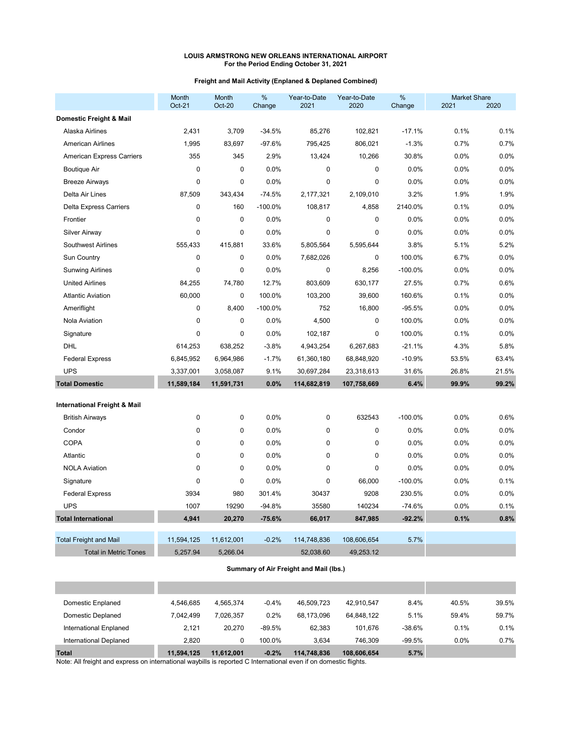## **Freight and Mail Activity (Enplaned & Deplaned Combined)**

|                                         | Month<br>Oct-21 | Month<br><b>Oct-20</b> | %<br>Change | Year-to-Date<br>2021 | Year-to-Date<br>2020 | %<br>Change | <b>Market Share</b><br>2021 | 2020  |
|-----------------------------------------|-----------------|------------------------|-------------|----------------------|----------------------|-------------|-----------------------------|-------|
| Domestic Freight & Mail                 |                 |                        |             |                      |                      |             |                             |       |
| Alaska Airlines                         | 2,431           | 3,709                  | $-34.5%$    | 85,276               | 102,821              | $-17.1%$    | 0.1%                        | 0.1%  |
| American Airlines                       | 1,995           | 83,697                 | $-97.6%$    | 795,425              | 806,021              | $-1.3%$     | 0.7%                        | 0.7%  |
| American Express Carriers               | 355             | 345                    | 2.9%        | 13,424               | 10,266               | 30.8%       | 0.0%                        | 0.0%  |
| <b>Boutique Air</b>                     | $\mathbf 0$     | $\mathbf 0$            | 0.0%        | 0                    | 0                    | 0.0%        | 0.0%                        | 0.0%  |
| <b>Breeze Airways</b>                   | $\mathbf 0$     | $\pmb{0}$              | 0.0%        | $\mathbf 0$          | 0                    | 0.0%        | 0.0%                        | 0.0%  |
| Delta Air Lines                         | 87,509          | 343,434                | $-74.5%$    | 2,177,321            | 2,109,010            | 3.2%        | 1.9%                        | 1.9%  |
| <b>Delta Express Carriers</b>           | $\mathbf 0$     | 160                    | $-100.0%$   | 108,817              | 4,858                | 2140.0%     | 0.1%                        | 0.0%  |
| Frontier                                | $\mathbf 0$     | $\pmb{0}$              | 0.0%        | 0                    | 0                    | 0.0%        | 0.0%                        | 0.0%  |
| <b>Silver Airway</b>                    | $\mathbf 0$     | $\mathbf 0$            | 0.0%        | $\mathbf 0$          | 0                    | 0.0%        | 0.0%                        | 0.0%  |
| <b>Southwest Airlines</b>               | 555,433         | 415.881                | 33.6%       | 5,805,564            | 5,595,644            | 3.8%        | 5.1%                        | 5.2%  |
| Sun Country                             | $\pmb{0}$       | $\pmb{0}$              | 0.0%        | 7,682,026            | 0                    | 100.0%      | 6.7%                        | 0.0%  |
| <b>Sunwing Airlines</b>                 | $\mathbf 0$     | $\mathbf 0$            | 0.0%        | 0                    | 8,256                | $-100.0%$   | 0.0%                        | 0.0%  |
| <b>United Airlines</b>                  | 84,255          | 74,780                 | 12.7%       | 803,609              | 630,177              | 27.5%       | 0.7%                        | 0.6%  |
| <b>Atlantic Aviation</b>                | 60,000          | 0                      | 100.0%      | 103,200              | 39,600               | 160.6%      | 0.1%                        | 0.0%  |
| Ameriflight                             | $\mathbf 0$     | 8,400                  | $-100.0%$   | 752                  | 16,800               | $-95.5%$    | 0.0%                        | 0.0%  |
| Nola Aviation                           | $\mathbf{0}$    | $\mathbf 0$            | 0.0%        | 4,500                | 0                    | 100.0%      | 0.0%                        | 0.0%  |
| Signature                               | $\mathbf{0}$    | $\mathbf 0$            | 0.0%        | 102,187              | 0                    | 100.0%      | 0.1%                        | 0.0%  |
| DHL                                     | 614,253         | 638,252                | $-3.8%$     | 4,943,254            | 6,267,683            | $-21.1%$    | 4.3%                        | 5.8%  |
| <b>Federal Express</b>                  | 6,845,952       | 6,964,986              | $-1.7%$     | 61,360,180           | 68,848,920           | $-10.9%$    | 53.5%                       | 63.4% |
| <b>UPS</b>                              | 3,337,001       | 3,058,087              | 9.1%        | 30,697,284           | 23,318,613           | 31.6%       | 26.8%                       | 21.5% |
| <b>Total Domestic</b>                   | 11,589,184      | 11,591,731             | 0.0%        | 114,682,819          | 107,758,669          | 6.4%        | 99.9%                       | 99.2% |
| <b>International Freight &amp; Mail</b> |                 |                        |             |                      |                      |             |                             |       |
| <b>British Airways</b>                  | $\mathbf 0$     | 0                      | 0.0%        | $\mathbf 0$          | 632543               | $-100.0%$   | 0.0%                        | 0.6%  |
| Condor                                  | $\mathbf 0$     | $\mathbf 0$            | 0.0%        | $\mathbf 0$          | 0                    | 0.0%        | 0.0%                        | 0.0%  |
| <b>COPA</b>                             | $\mathbf{0}$    | $\pmb{0}$              | 0.0%        | $\mathbf 0$          | 0                    | 0.0%        | 0.0%                        | 0.0%  |
| Atlantic                                | $\mathbf{0}$    | 0                      | 0.0%        | $\mathbf 0$          | 0                    | 0.0%        | 0.0%                        | 0.0%  |
| <b>NOLA Aviation</b>                    | $\mathbf 0$     | $\pmb{0}$              | 0.0%        | $\mathbf 0$          | 0                    | 0.0%        | 0.0%                        | 0.0%  |
| Signature                               | $\mathbf{0}$    | $\pmb{0}$              | 0.0%        | $\mathbf 0$          | 66,000               | $-100.0%$   | 0.0%                        | 0.1%  |
| <b>Federal Express</b>                  | 3934            | 980                    | 301.4%      | 30437                | 9208                 | 230.5%      | 0.0%                        | 0.0%  |
| <b>UPS</b>                              | 1007            | 19290                  | $-94.8%$    | 35580                | 140234               | $-74.6%$    | 0.0%                        | 0.1%  |
| <b>Total International</b>              | 4,941           | 20,270                 | $-75.6%$    | 66,017               | 847,985              | $-92.2%$    | 0.1%                        | 0.8%  |
| <b>Total Freight and Mail</b>           | 11,594,125      | 11,612,001             | $-0.2%$     | 114,748,836          | 108,606,654          | 5.7%        |                             |       |
| <b>Total in Metric Tones</b>            | 5,257.94        | 5,266.04               |             | 52,038.60            | 49,253.12            |             |                             |       |

## **Summary of Air Freight and Mail (lbs.)**

| <b>Total</b>           | 11.594.125 | 11.612.001 | $-0.2%$  | 114,748,836 | 108,606,654 | 5.7%     |       |       |
|------------------------|------------|------------|----------|-------------|-------------|----------|-------|-------|
| International Deplaned | 2.820      | 0          | 100.0%   | 3.634       | 746.309     | $-99.5%$ | 0.0%  | 0.7%  |
| International Enplaned | 2.121      | 20.270     | $-89.5%$ | 62.383      | 101.676     | $-38.6%$ | 0.1%  | 0.1%  |
| Domestic Deplaned      | 7.042.499  | 7.026.357  | 0.2%     | 68.173.096  | 64.848.122  | 5.1%     | 59.4% | 59.7% |
| Domestic Enplaned      | 4.546.685  | 4.565.374  | $-0.4%$  | 46.509.723  | 42.910.547  | 8.4%     | 40.5% | 39.5% |
|                        |            |            |          |             |             |          |       |       |
|                        |            |            |          |             |             |          |       |       |

Note: All freight and express on international waybills is reported C International even if on domestic flights.